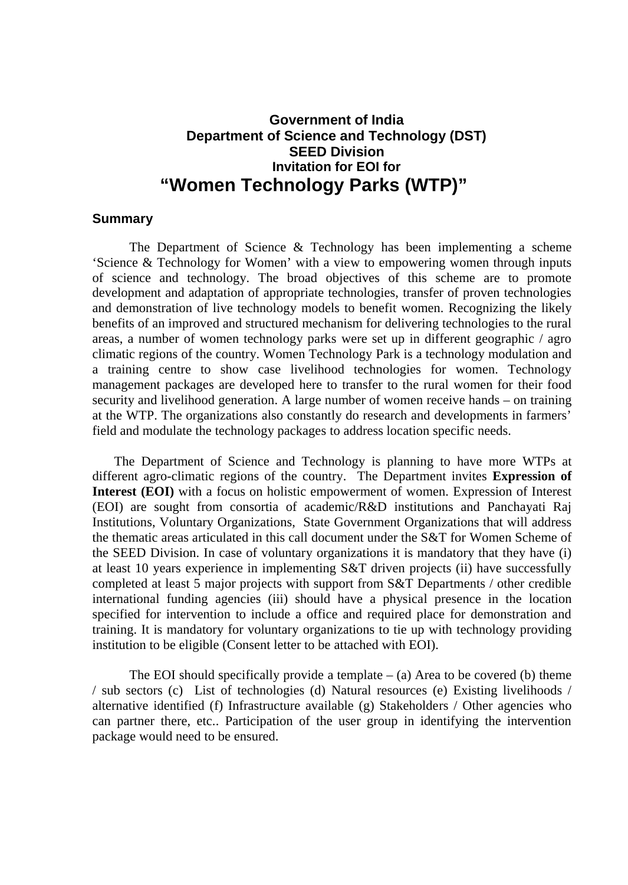## **Government of India Department of Science and Technology (DST) SEED Division Invitation for EOI for "Women Technology Parks (WTP)"**

## **Summary**

The Department of Science & Technology has been implementing a scheme 'Science & Technology for Women' with a view to empowering women through inputs of science and technology. The broad objectives of this scheme are to promote development and adaptation of appropriate technologies, transfer of proven technologies and demonstration of live technology models to benefit women. Recognizing the likely benefits of an improved and structured mechanism for delivering technologies to the rural areas, a number of women technology parks were set up in different geographic / agro climatic regions of the country. Women Technology Park is a technology modulation and a training centre to show case livelihood technologies for women. Technology management packages are developed here to transfer to the rural women for their food security and livelihood generation. A large number of women receive hands – on training at the WTP. The organizations also constantly do research and developments in farmers' field and modulate the technology packages to address location specific needs.

The Department of Science and Technology is planning to have more WTPs at different agro-climatic regions of the country. The Department invites **Expression of Interest (EOI)** with a focus on holistic empowerment of women. Expression of Interest (EOI) are sought from consortia of academic/R&D institutions and Panchayati Raj Institutions, Voluntary Organizations, State Government Organizations that will address the thematic areas articulated in this call document under the S&T for Women Scheme of the SEED Division. In case of voluntary organizations it is mandatory that they have (i) at least 10 years experience in implementing S&T driven projects (ii) have successfully completed at least 5 major projects with support from S&T Departments / other credible international funding agencies (iii) should have a physical presence in the location specified for intervention to include a office and required place for demonstration and training. It is mandatory for voluntary organizations to tie up with technology providing institution to be eligible (Consent letter to be attached with EOI).

The EOI should specifically provide a template  $-$  (a) Area to be covered (b) theme / sub sectors (c) List of technologies (d) Natural resources (e) Existing livelihoods / alternative identified (f) Infrastructure available (g) Stakeholders / Other agencies who can partner there, etc.. Participation of the user group in identifying the intervention package would need to be ensured.